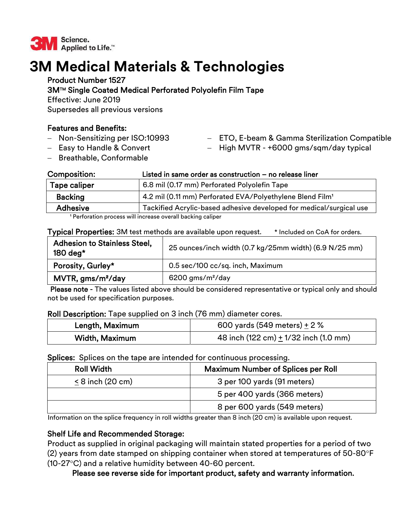

# **3M Medical Materials & Technologies**

## Product Number 1527

## 3MTM Single Coated Medical Perforated Polyolefin Film Tape

Effective: June 2019

Supersedes all previous versions

# Features and Benefits:

- Non-Sensitizing per ISO:10993
- Easy to Handle & Convert
- ETO, E-beam & Gamma Sterilization Compatible
- High MVTR +6000 gms/sqm/day typical

- Breathable, Conformable

| <b>Composition:</b>                                         | Listed in same order as construction - no release liner               |
|-------------------------------------------------------------|-----------------------------------------------------------------------|
| <b>Tape caliper</b>                                         | 6.8 mil (0.17 mm) Perforated Polyolefin Tape                          |
| <b>Backing</b>                                              | 4.2 mil (0.11 mm) Perforated EVA/Polyethylene Blend Film <sup>1</sup> |
| <b>Adhesive</b>                                             | Tackified Acrylic-based adhesive developed for medical/surgical use   |
| 1 Perforation process will increase overall backing caliper |                                                                       |

Perforation process will increase overall backing caliper

Typical Properties: 3M test methods are available upon request. \* Included on CoA for orders.

| <b>Adhesion to Stainless Steel,</b><br>180 deg* | 25 ounces/inch width (0.7 kg/25mm width) (6.9 N/25 mm) |
|-------------------------------------------------|--------------------------------------------------------|
| Porosity, Gurley*                               | 0.5 sec/100 cc/sq. inch, Maximum                       |
| MVTR, gms/m <sup>2</sup> /day                   | $6200$ gms/m <sup>2</sup> /day                         |

Please note - The values listed above should be considered representative or typical only and should not be used for specification purposes.

### Roll Description: Tape supplied on 3 inch (76 mm) diameter cores.

| Length, Maximum | 600 yards (549 meters) $\pm$ 2 %          |
|-----------------|-------------------------------------------|
| Width, Maximum  | 48 inch (122 cm) $\pm$ 1/32 inch (1.0 mm) |

### Splices: Splices on the tape are intended for continuous processing.

| <b>Roll Width</b>     | <b>Maximum Number of Splices per Roll</b> |
|-----------------------|-------------------------------------------|
| $\leq$ 8 inch (20 cm) | 3 per 100 yards (91 meters)               |
|                       | 5 per 400 yards (366 meters)              |
|                       | 8 per 600 yards (549 meters)              |

Information on the splice frequency in roll widths greater than 8 inch (20 cm) is available upon request.

## Shelf Life and Recommended Storage:

Product as supplied in original packaging will maintain stated properties for a period of two (2) years from date stamped on shipping container when stored at temperatures of  $50$ -80 $\degree$ F (10-27 $\textdegree$ C) and a relative humidity between 40-60 percent.

Please see reverse side for important product, safety and warranty information.